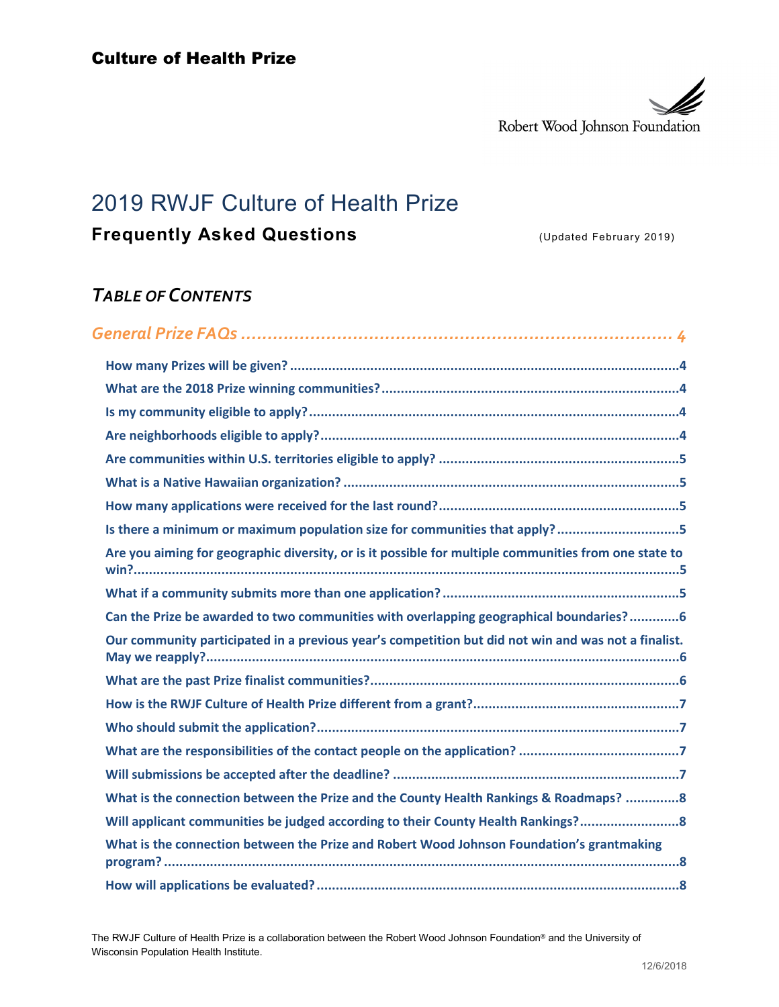

# 2019 RWJF Culture of Health Prize

# **Frequently Asked Questions Canadian Control (Updated February 2019)**

# *TABLE OF CONTENTS*

| Is there a minimum or maximum population size for communities that apply?5                            |  |
|-------------------------------------------------------------------------------------------------------|--|
| Are you aiming for geographic diversity, or is it possible for multiple communities from one state to |  |
|                                                                                                       |  |
| Can the Prize be awarded to two communities with overlapping geographical boundaries?6                |  |
| Our community participated in a previous year's competition but did not win and was not a finalist.   |  |
|                                                                                                       |  |
|                                                                                                       |  |
|                                                                                                       |  |
|                                                                                                       |  |
|                                                                                                       |  |
| What is the connection between the Prize and the County Health Rankings & Roadmaps? 8                 |  |
| Will applicant communities be judged according to their County Health Rankings?                       |  |
| What is the connection between the Prize and Robert Wood Johnson Foundation's grantmaking             |  |
|                                                                                                       |  |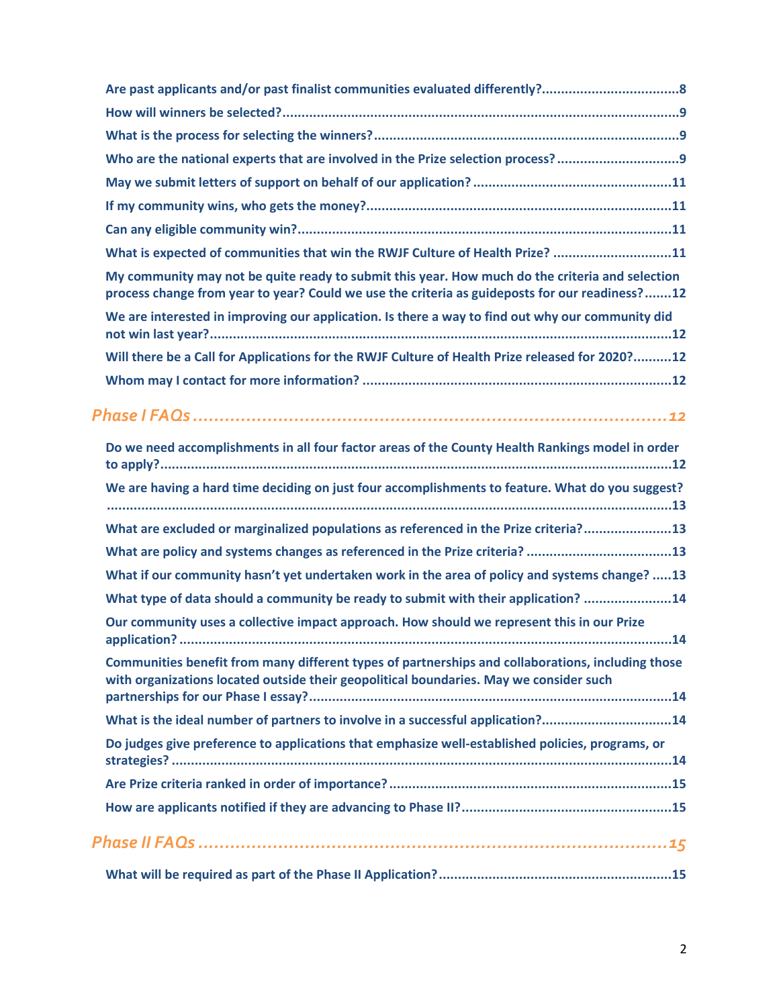| Who are the national experts that are involved in the Prize selection process?                                                                                                                    |
|---------------------------------------------------------------------------------------------------------------------------------------------------------------------------------------------------|
|                                                                                                                                                                                                   |
|                                                                                                                                                                                                   |
|                                                                                                                                                                                                   |
| What is expected of communities that win the RWJF Culture of Health Prize? 11                                                                                                                     |
| My community may not be quite ready to submit this year. How much do the criteria and selection<br>process change from year to year? Could we use the criteria as guideposts for our readiness?12 |
| We are interested in improving our application. Is there a way to find out why our community did                                                                                                  |
| Will there be a Call for Applications for the RWJF Culture of Health Prize released for 2020?12                                                                                                   |
|                                                                                                                                                                                                   |
|                                                                                                                                                                                                   |
| Do we need accomplishments in all four factor areas of the County Health Rankings model in order                                                                                                  |
| We are having a hard time deciding on just four accomplishments to feature. What do you suggest?                                                                                                  |
| What are excluded or marginalized populations as referenced in the Prize criteria?13                                                                                                              |
| What are policy and systems changes as referenced in the Prize criteria? 13                                                                                                                       |
| What if our community hasn't yet undertaken work in the area of policy and systems change? 13                                                                                                     |
| What type of data should a community be ready to submit with their application? 14                                                                                                                |
| Our community uses a collective impact approach. How should we represent this in our Prize                                                                                                        |
| Communities benefit from many different types of partnerships and collaborations, including those<br>with organizations located outside their geopolitical boundaries. May we consider such       |
| What is the ideal number of partners to involve in a successful application?14                                                                                                                    |
| Do judges give preference to applications that emphasize well-established policies, programs, or                                                                                                  |
|                                                                                                                                                                                                   |
|                                                                                                                                                                                                   |
|                                                                                                                                                                                                   |
|                                                                                                                                                                                                   |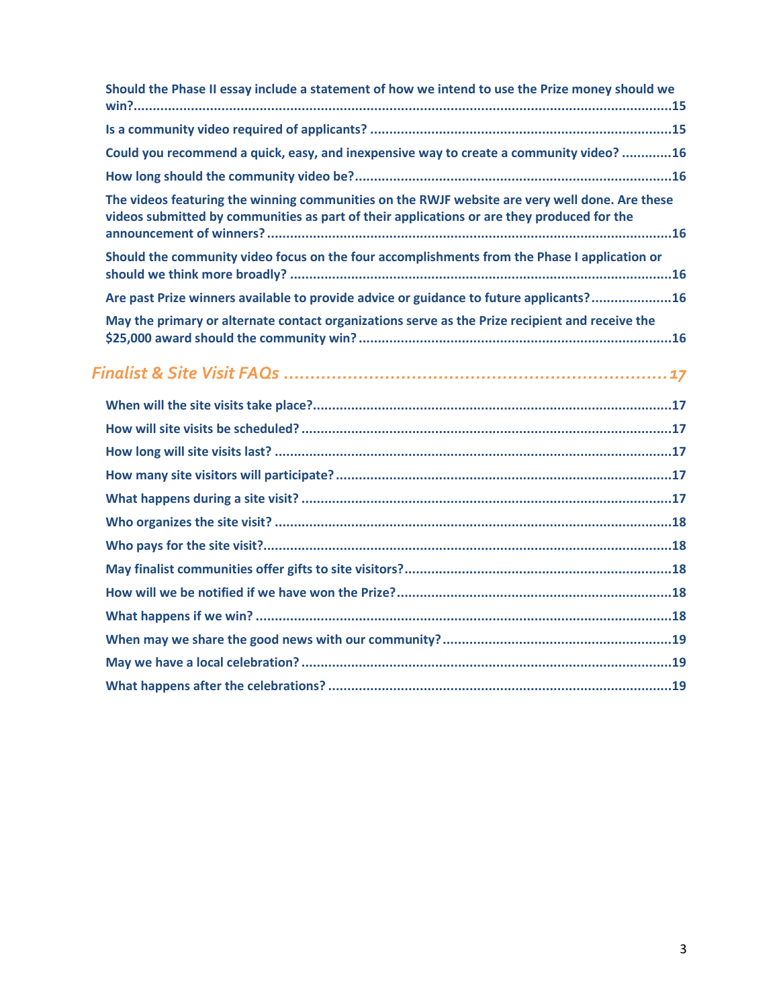| Should the Phase II essay include a statement of how we intend to use the Prize money should we                                                                                              |
|----------------------------------------------------------------------------------------------------------------------------------------------------------------------------------------------|
|                                                                                                                                                                                              |
| Could you recommend a quick, easy, and inexpensive way to create a community video? 16                                                                                                       |
|                                                                                                                                                                                              |
| The videos featuring the winning communities on the RWJF website are very well done. Are these<br>videos submitted by communities as part of their applications or are they produced for the |
| Should the community video focus on the four accomplishments from the Phase I application or                                                                                                 |
| Are past Prize winners available to provide advice or guidance to future applicants?16                                                                                                       |
| May the primary or alternate contact organizations serve as the Prize recipient and receive the                                                                                              |
|                                                                                                                                                                                              |
|                                                                                                                                                                                              |
|                                                                                                                                                                                              |
|                                                                                                                                                                                              |
|                                                                                                                                                                                              |
|                                                                                                                                                                                              |
|                                                                                                                                                                                              |
|                                                                                                                                                                                              |
|                                                                                                                                                                                              |
|                                                                                                                                                                                              |
|                                                                                                                                                                                              |
|                                                                                                                                                                                              |
|                                                                                                                                                                                              |
|                                                                                                                                                                                              |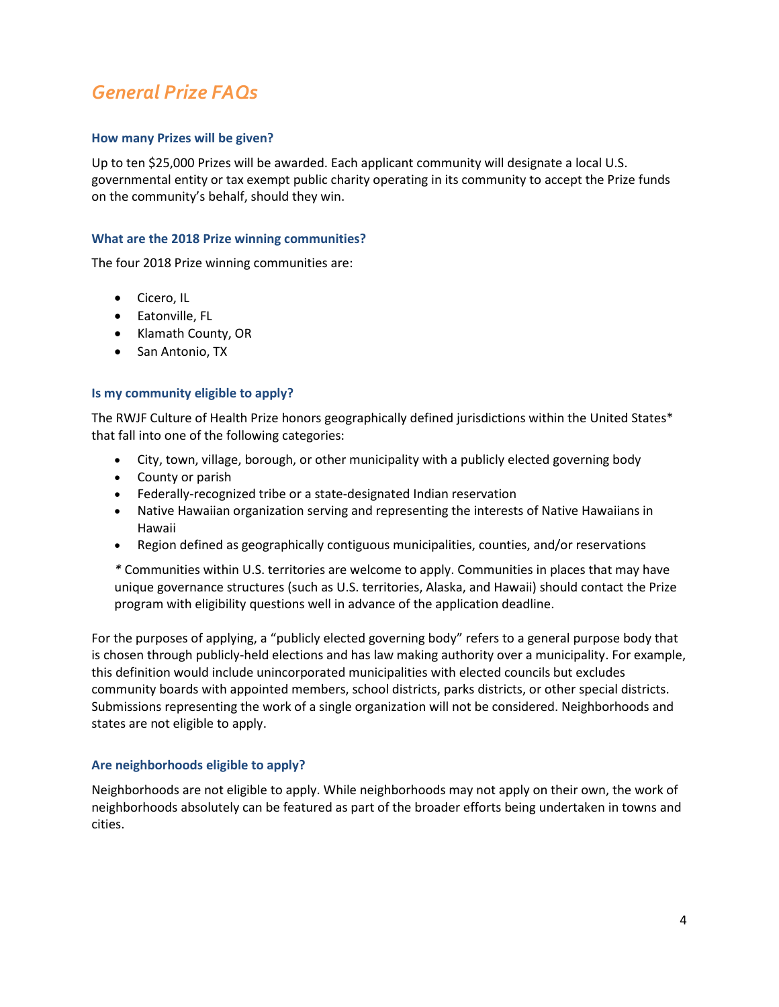# <span id="page-3-0"></span>*General Prize FAQs*

# <span id="page-3-1"></span>**How many Prizes will be given?**

Up to ten \$25,000 Prizes will be awarded. Each applicant community will designate a local U.S. governmental entity or tax exempt public charity operating in its community to accept the Prize funds on the community's behalf, should they win.

# <span id="page-3-2"></span>**What are the 2018 Prize winning communities?**

The four 2018 Prize winning communities are:

- Cicero, IL
- Eatonville, FL
- Klamath County, OR
- San Antonio, TX

#### <span id="page-3-3"></span>**Is my community eligible to apply?**

The RWJF Culture of Health Prize honors geographically defined jurisdictions within the United States\* that fall into one of the following categories:

- City, town, village, borough, or other municipality with a publicly elected governing body
- County or parish
- Federally-recognized tribe or a state-designated Indian reservation
- Native Hawaiian organization serving and representing the interests of Native Hawaiians in Hawaii
- Region defined as geographically contiguous municipalities, counties, and/or reservations

*\** Communities within U.S. territories are welcome to apply. Communities in places that may have unique governance structures (such as U.S. territories, Alaska, and Hawaii) should contact the Prize program with eligibility questions well in advance of the application deadline.

For the purposes of applying, a "publicly elected governing body" refers to a general purpose body that is chosen through publicly-held elections and has law making authority over a municipality. For example, this definition would include unincorporated municipalities with elected councils but excludes community boards with appointed members, school districts, parks districts, or other special districts. Submissions representing the work of a single organization will not be considered. Neighborhoods and states are not eligible to apply.

#### <span id="page-3-4"></span>**Are neighborhoods eligible to apply?**

Neighborhoods are not eligible to apply. While neighborhoods may not apply on their own, the work of neighborhoods absolutely can be featured as part of the broader efforts being undertaken in towns and cities.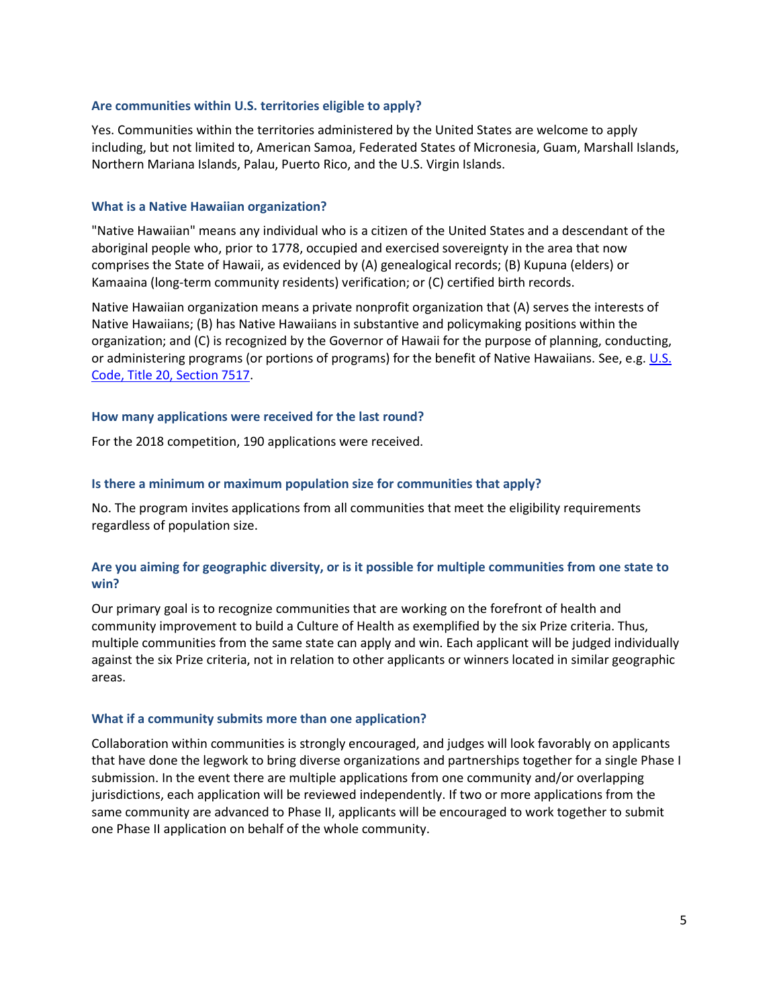#### <span id="page-4-0"></span>**Are communities within U.S. territories eligible to apply?**

Yes. Communities within the territories administered by the United States are welcome to apply including, but not limited to, American Samoa, Federated States of Micronesia, Guam, Marshall Islands, Northern Mariana Islands, Palau, Puerto Rico, and the U.S. Virgin Islands.

#### <span id="page-4-1"></span>**What is a Native Hawaiian organization?**

"Native Hawaiian" means any individual who is a citizen of the United States and a descendant of the aboriginal people who, prior to 1778, occupied and exercised sovereignty in the area that now comprises the State of Hawaii, as evidenced by (A) genealogical records; (B) Kupuna (elders) or Kamaaina (long-term community residents) verification; or (C) certified birth records.

Native Hawaiian organization means a private nonprofit organization that (A) serves the interests of Native Hawaiians; (B) has Native Hawaiians in substantive and policymaking positions within the organization; and (C) is recognized by the Governor of Hawaii for the purpose of planning, conducting, or administering programs (or portions of programs) for the benefit of Native Hawaiians. See, e.g. [U.S.](http://codes.findlaw.com/us/title-20-education/20-usc-sect-7517.html)  [Code, Title 20, Section 7517.](http://codes.findlaw.com/us/title-20-education/20-usc-sect-7517.html)

#### <span id="page-4-2"></span>**How many applications were received for the last round?**

For the 2018 competition, 190 applications were received.

#### <span id="page-4-3"></span>**Is there a minimum or maximum population size for communities that apply?**

No. The program invites applications from all communities that meet the eligibility requirements regardless of population size.

# <span id="page-4-4"></span>**Are you aiming for geographic diversity, or is it possible for multiple communities from one state to win?**

Our primary goal is to recognize communities that are working on the forefront of health and community improvement to build a Culture of Health as exemplified by the six Prize criteria. Thus, multiple communities from the same state can apply and win. Each applicant will be judged individually against the six Prize criteria, not in relation to other applicants or winners located in similar geographic areas.

#### <span id="page-4-5"></span>**What if a community submits more than one application?**

Collaboration within communities is strongly encouraged, and judges will look favorably on applicants that have done the legwork to bring diverse organizations and partnerships together for a single Phase I submission. In the event there are multiple applications from one community and/or overlapping jurisdictions, each application will be reviewed independently. If two or more applications from the same community are advanced to Phase II, applicants will be encouraged to work together to submit one Phase II application on behalf of the whole community.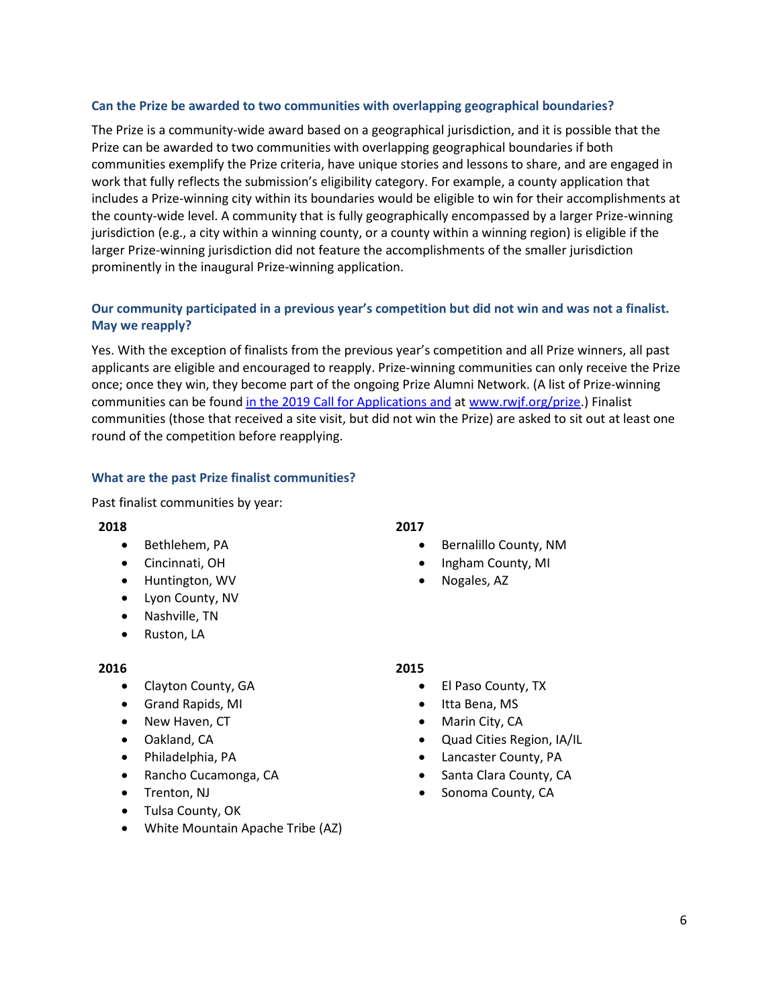### <span id="page-5-0"></span>**Can the Prize be awarded to two communities with overlapping geographical boundaries?**

The Prize is a community-wide award based on a geographical jurisdiction, and it is possible that the Prize can be awarded to two communities with overlapping geographical boundaries if both communities exemplify the Prize criteria, have unique stories and lessons to share, and are engaged in work that fully reflects the submission's eligibility category. For example, a county application that includes a Prize-winning city within its boundaries would be eligible to win for their accomplishments at the county-wide level. A community that is fully geographically encompassed by a larger Prize-winning jurisdiction (e.g., a city within a winning county, or a county within a winning region) is eligible if the larger Prize-winning jurisdiction did not feature the accomplishments of the smaller jurisdiction prominently in the inaugural Prize-winning application.

# <span id="page-5-1"></span>**Our community participated in a previous year's competition but did not win and was not a finalist. May we reapply?**

Yes. With the exception of finalists from the previous year's competition and all Prize winners, all past applicants are eligible and encouraged to reapply. Prize-winning communities can only receive the Prize once; once they win, they become part of the ongoing Prize Alumni Network. (A list of Prize-winning communities can be found in the 2019 Call for Applications and at [www.rwjf.org/prize.](http://www.rwjf.org/prize)) Finalist communities (those that received a site visit, but did not win the Prize) are asked to sit out at least one round of the competition before reapplying.

# <span id="page-5-2"></span>**What are the past Prize finalist communities?**

Past finalist communities by year:

#### **2018**

- Bethlehem, PA
- Cincinnati, OH
- Huntington, WV
- Lyon County, NV
- Nashville, TN
- Ruston, LA

# **2016**

- Clayton County, GA
- Grand Rapids, MI
- New Haven, CT
- Oakland, CA
- Philadelphia, PA
- Rancho Cucamonga, CA
- Trenton, NJ
- Tulsa County, OK
- White Mountain Apache Tribe (AZ)

# **2017**

- Bernalillo County, NM
- Ingham County, MI
- Nogales, AZ

#### **2015**

- El Paso County, TX
- Itta Bena, MS
- Marin City, CA
- Quad Cities Region, IA/IL
- Lancaster County, PA
- Santa Clara County, CA
- Sonoma County, CA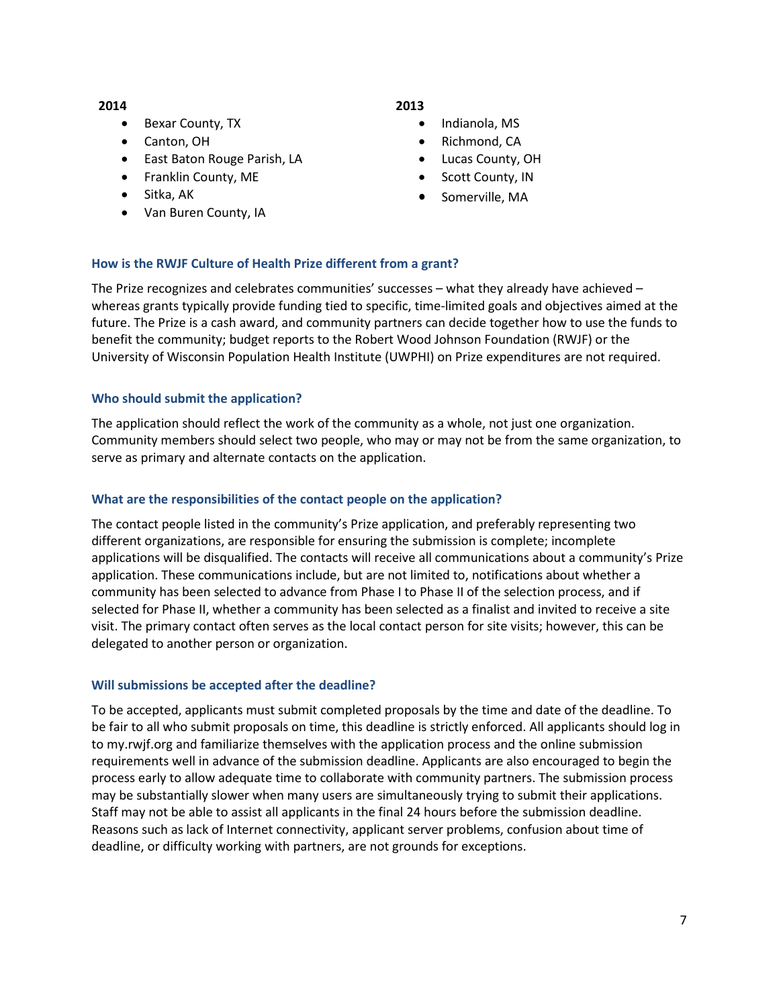#### **2014**

- Bexar County, TX
- Canton, OH
- East Baton Rouge Parish, LA
- Franklin County, ME
- Sitka, AK
- Van Buren County, IA

# **2013**

- Indianola, MS
- Richmond, CA
- Lucas County, OH
- Scott County, IN
- Somerville, MA

# <span id="page-6-0"></span>**How is the RWJF Culture of Health Prize different from a grant?**

The Prize recognizes and celebrates communities' successes – what they already have achieved – whereas grants typically provide funding tied to specific, time-limited goals and objectives aimed at the future. The Prize is a cash award, and community partners can decide together how to use the funds to benefit the community; budget reports to the Robert Wood Johnson Foundation (RWJF) or the University of Wisconsin Population Health Institute (UWPHI) on Prize expenditures are not required.

# <span id="page-6-1"></span>**Who should submit the application?**

The application should reflect the work of the community as a whole, not just one organization. Community members should select two people, who may or may not be from the same organization, to serve as primary and alternate contacts on the application.

# <span id="page-6-2"></span>**What are the responsibilities of the contact people on the application?**

The contact people listed in the community's Prize application, and preferably representing two different organizations, are responsible for ensuring the submission is complete; incomplete applications will be disqualified. The contacts will receive all communications about a community's Prize application. These communications include, but are not limited to, notifications about whether a community has been selected to advance from Phase I to Phase II of the selection process, and if selected for Phase II, whether a community has been selected as a finalist and invited to receive a site visit. The primary contact often serves as the local contact person for site visits; however, this can be delegated to another person or organization.

# <span id="page-6-3"></span>**Will submissions be accepted after the deadline?**

To be accepted, applicants must submit completed proposals by the time and date of the deadline. To be fair to all who submit proposals on time, this deadline is strictly enforced. All applicants should log in to my.rwjf.org and familiarize themselves with the application process and the online submission requirements well in advance of the submission deadline. Applicants are also encouraged to begin the process early to allow adequate time to collaborate with community partners. The submission process may be substantially slower when many users are simultaneously trying to submit their applications. Staff may not be able to assist all applicants in the final 24 hours before the submission deadline. Reasons such as lack of Internet connectivity, applicant server problems, confusion about time of deadline, or difficulty working with partners, are not grounds for exceptions.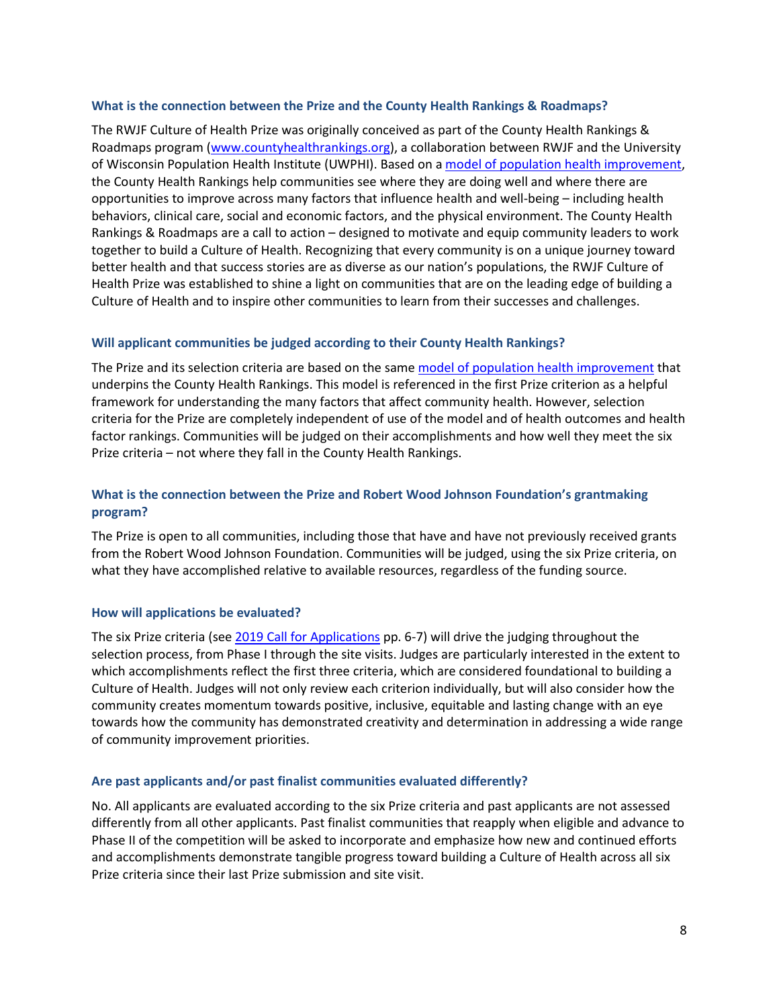#### <span id="page-7-0"></span>**What is the connection between the Prize and the County Health Rankings & Roadmaps?**

The RWJF Culture of Health Prize was originally conceived as part of the County Health Rankings & Roadmaps program [\(www.countyhealthrankings.org\)](http://www.countyhealthrankings.org/), a collaboration between RWJF and the University of Wisconsin Population Health Institute (UWPHI). Based on a [model of population health improvement,](http://www.countyhealthrankings.org/explore-health-rankings/what-and-why-we-rank) the County Health Rankings help communities see where they are doing well and where there are opportunities to improve across many factors that influence health and well-being – including health behaviors, clinical care, social and economic factors, and the physical environment. The County Health Rankings & Roadmaps are a call to action – designed to motivate and equip community leaders to work together to build a Culture of Health. Recognizing that every community is on a unique journey toward better health and that success stories are as diverse as our nation's populations, the RWJF Culture of Health Prize was established to shine a light on communities that are on the leading edge of building a Culture of Health and to inspire other communities to learn from their successes and challenges.

# <span id="page-7-1"></span>**Will applicant communities be judged according to their County Health Rankings?**

The Prize and its selection criteria are based on the sam[e model of population health improvement](http://www.countyhealthrankings.org/explore-health-rankings/what-and-why-we-rank) that underpins the County Health Rankings. This model is referenced in the first Prize criterion as a helpful framework for understanding the many factors that affect community health. However, selection criteria for the Prize are completely independent of use of the model and of health outcomes and health factor rankings. Communities will be judged on their accomplishments and how well they meet the six Prize criteria – not where they fall in the County Health Rankings.

# <span id="page-7-2"></span>**What is the connection between the Prize and Robert Wood Johnson Foundation's grantmaking program?**

The Prize is open to all communities, including those that have and have not previously received grants from the Robert Wood Johnson Foundation. Communities will be judged, using the six Prize criteria, on what they have accomplished relative to available resources, regardless of the funding source.

# <span id="page-7-3"></span>**How will applications be evaluated?**

The six Prize criteria (see 2019 Call for Applications pp. 6-7) will drive the judging throughout the selection process, from Phase I through the site visits. Judges are particularly interested in the extent to which accomplishments reflect the first three criteria, which are considered foundational to building a Culture of Health. Judges will not only review each criterion individually, but will also consider how the community creates momentum towards positive, inclusive, equitable and lasting change with an eye towards how the community has demonstrated creativity and determination in addressing a wide range of community improvement priorities.

# <span id="page-7-4"></span>**Are past applicants and/or past finalist communities evaluated differently?**

No. All applicants are evaluated according to the six Prize criteria and past applicants are not assessed differently from all other applicants. Past finalist communities that reapply when eligible and advance to Phase II of the competition will be asked to incorporate and emphasize how new and continued efforts and accomplishments demonstrate tangible progress toward building a Culture of Health across all six Prize criteria since their last Prize submission and site visit.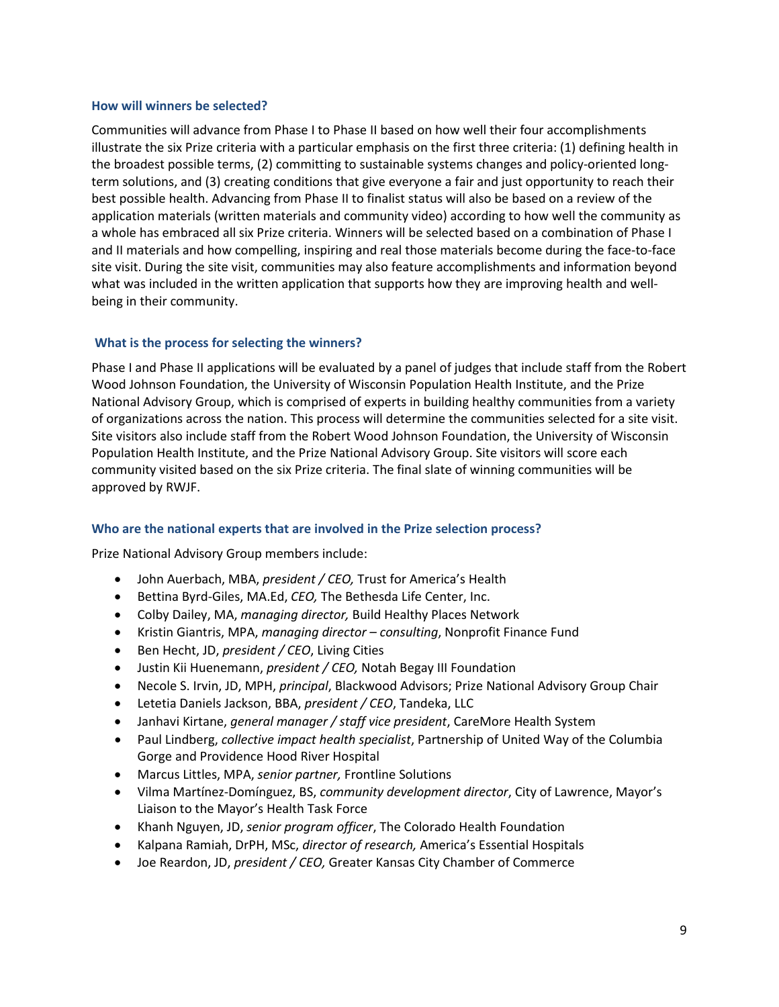#### <span id="page-8-0"></span>**How will winners be selected?**

Communities will advance from Phase I to Phase II based on how well their four accomplishments illustrate the six Prize criteria with a particular emphasis on the first three criteria: (1) defining health in the broadest possible terms, (2) committing to sustainable systems changes and policy-oriented longterm solutions, and (3) creating conditions that give everyone a fair and just opportunity to reach their best possible health. Advancing from Phase II to finalist status will also be based on a review of the application materials (written materials and community video) according to how well the community as a whole has embraced all six Prize criteria. Winners will be selected based on a combination of Phase I and II materials and how compelling, inspiring and real those materials become during the face-to-face site visit. During the site visit, communities may also feature accomplishments and information beyond what was included in the written application that supports how they are improving health and wellbeing in their community.

# <span id="page-8-1"></span>**What is the process for selecting the winners?**

Phase I and Phase II applications will be evaluated by a panel of judges that include staff from the Robert Wood Johnson Foundation, the University of Wisconsin Population Health Institute, and the Prize National Advisory Group, which is comprised of experts in building healthy communities from a variety of organizations across the nation. This process will determine the communities selected for a site visit. Site visitors also include staff from the Robert Wood Johnson Foundation, the University of Wisconsin Population Health Institute, and the Prize National Advisory Group. Site visitors will score each community visited based on the six Prize criteria. The final slate of winning communities will be approved by RWJF.

# <span id="page-8-2"></span>**Who are the national experts that are involved in the Prize selection process?**

Prize National Advisory Group members include:

- John Auerbach, MBA, *president / CEO,* Trust for America's Health
- Bettina Byrd-Giles, MA.Ed, *CEO,* The Bethesda Life Center, Inc.
- Colby Dailey, MA, *managing director,* Build Healthy Places Network
- Kristin Giantris, MPA, *managing director – consulting*, Nonprofit Finance Fund
- Ben Hecht, JD, *president / CEO*, Living Cities
- Justin Kii Huenemann, *president / CEO,* Notah Begay III Foundation
- Necole S. Irvin, JD, MPH, *principal*, Blackwood Advisors; Prize National Advisory Group Chair
- Letetia Daniels Jackson, BBA, *president / CEO*, Tandeka, LLC
- Janhavi Kirtane, *general manager / staff vice president*, CareMore Health System
- Paul Lindberg, *collective impact health specialist*, Partnership of United Way of the Columbia Gorge and Providence Hood River Hospital
- Marcus Littles, MPA, *senior partner,* Frontline Solutions
- Vilma Martínez-Domínguez, BS, *community development director*, City of Lawrence, Mayor's Liaison to the Mayor's Health Task Force
- Khanh Nguyen, JD, *senior program officer*, The Colorado Health Foundation
- Kalpana Ramiah, DrPH, MSc, *director of research,* America's Essential Hospitals
- Joe Reardon, JD, *president / CEO,* Greater Kansas City Chamber of Commerce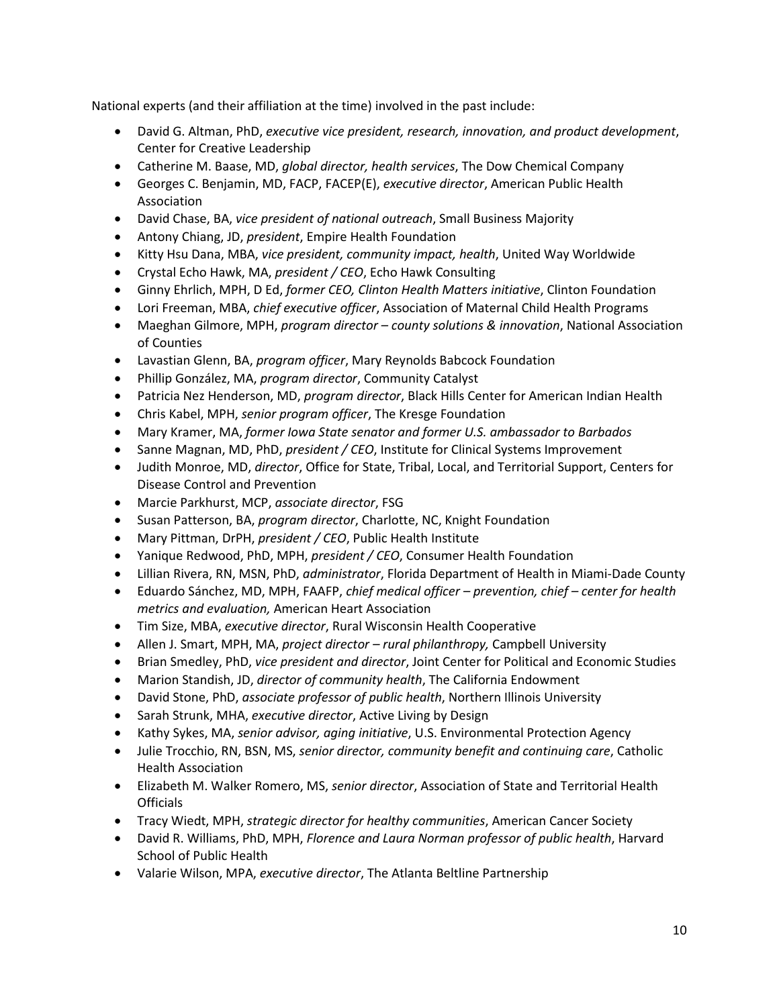National experts (and their affiliation at the time) involved in the past include:

- David G. Altman, PhD, *executive vice president, research, innovation, and product development*, Center for Creative Leadership
- Catherine M. Baase, MD, *global director, health services*, The Dow Chemical Company
- Georges C. Benjamin, MD, FACP, FACEP(E), *executive director*, American Public Health Association
- David Chase, BA, *vice president of national outreach*, Small Business Majority
- Antony Chiang, JD, *president*, Empire Health Foundation
- Kitty Hsu Dana, MBA, *vice president, community impact, health*, United Way Worldwide
- Crystal Echo Hawk, MA, *president / CEO*, Echo Hawk Consulting
- Ginny Ehrlich, MPH, D Ed, *former CEO, Clinton Health Matters initiative*, Clinton Foundation
- Lori Freeman, MBA, *chief executive officer*, Association of Maternal Child Health Programs
- Maeghan Gilmore, MPH, *program director – county solutions & innovation*, National Association of Counties
- Lavastian Glenn, BA, *program officer*, Mary Reynolds Babcock Foundation
- Phillip González, MA, *program director*, Community Catalyst
- Patricia Nez Henderson, MD, *program director*, Black Hills Center for American Indian Health
- Chris Kabel, MPH, *senior program officer*, The Kresge Foundation
- Mary Kramer, MA, *former Iowa State senator and former U.S. ambassador to Barbados*
- Sanne Magnan, MD, PhD, *president / CEO*, Institute for Clinical Systems Improvement
- Judith Monroe, MD, *director*, Office for State, Tribal, Local, and Territorial Support, Centers for Disease Control and Prevention
- Marcie Parkhurst, MCP, *associate director*, FSG
- Susan Patterson, BA, *program director*, Charlotte, NC, Knight Foundation
- Mary Pittman, DrPH, *president / CEO*, Public Health Institute
- Yanique Redwood, PhD, MPH, *president / CEO*, Consumer Health Foundation
- Lillian Rivera, RN, MSN, PhD, *administrator*, Florida Department of Health in Miami-Dade County
- Eduardo Sánchez, MD, MPH, FAAFP, *chief medical officer – prevention, chief – center for health metrics and evaluation,* American Heart Association
- Tim Size, MBA, *executive director*, Rural Wisconsin Health Cooperative
- Allen J. Smart, MPH, MA, *project director – rural philanthropy,* Campbell University
- Brian Smedley, PhD, *vice president and director*, Joint Center for Political and Economic Studies
- Marion Standish, JD, *director of community health*, The California Endowment
- David Stone, PhD, *associate professor of public health*, Northern Illinois University
- Sarah Strunk, MHA, *executive director*, Active Living by Design
- Kathy Sykes, MA, *senior advisor, aging initiative*, U.S. Environmental Protection Agency
- Julie Trocchio, RN, BSN, MS, *senior director, community benefit and continuing care*, Catholic Health Association
- Elizabeth M. Walker Romero, MS, *senior director*, Association of State and Territorial Health **Officials**
- Tracy Wiedt, MPH, *strategic director for healthy communities*, American Cancer Society
- David R. Williams, PhD, MPH, *Florence and Laura Norman professor of public health*, Harvard School of Public Health
- Valarie Wilson, MPA, *executive director*, The Atlanta Beltline Partnership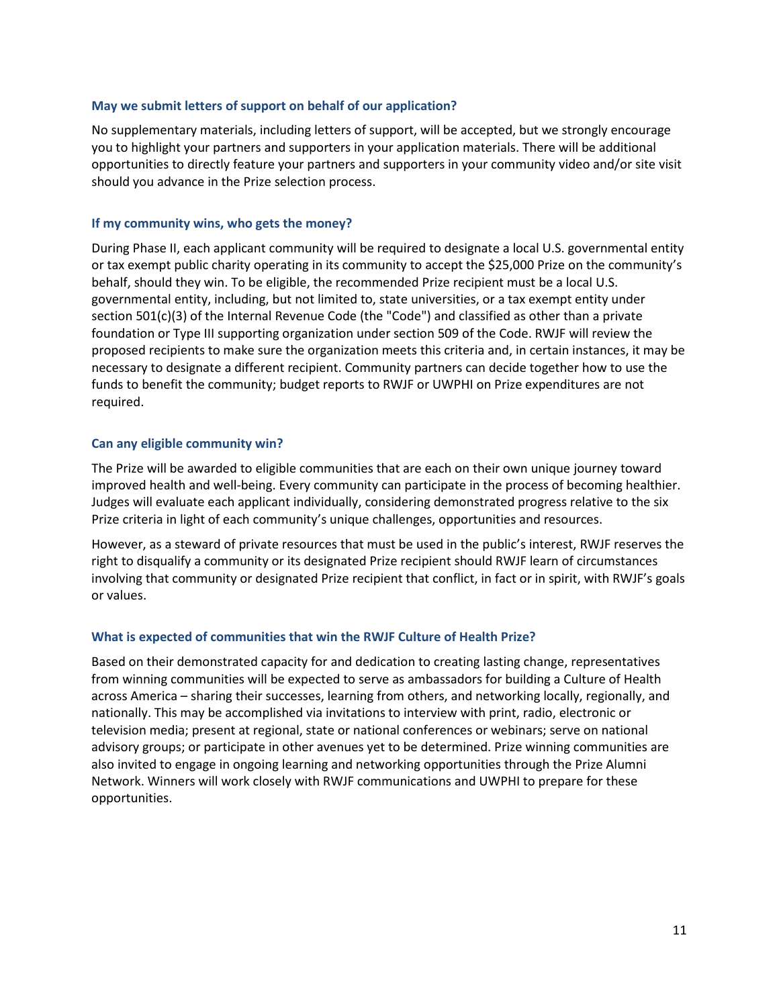#### <span id="page-10-0"></span>**May we submit letters of support on behalf of our application?**

No supplementary materials, including letters of support, will be accepted, but we strongly encourage you to highlight your partners and supporters in your application materials. There will be additional opportunities to directly feature your partners and supporters in your community video and/or site visit should you advance in the Prize selection process.

#### <span id="page-10-1"></span>**If my community wins, who gets the money?**

During Phase II, each applicant community will be required to designate a local U.S. governmental entity or tax exempt public charity operating in its community to accept the \$25,000 Prize on the community's behalf, should they win. To be eligible, the recommended Prize recipient must be a local U.S. governmental entity, including, but not limited to, state universities, or a tax exempt entity under section 501(c)(3) of the Internal Revenue Code (the "Code") and classified as other than a private foundation or Type III supporting organization under section 509 of the Code. RWJF will review the proposed recipients to make sure the organization meets this criteria and, in certain instances, it may be necessary to designate a different recipient. Community partners can decide together how to use the funds to benefit the community; budget reports to RWJF or UWPHI on Prize expenditures are not required.

#### <span id="page-10-2"></span>**Can any eligible community win?**

The Prize will be awarded to eligible communities that are each on their own unique journey toward improved health and well-being. Every community can participate in the process of becoming healthier. Judges will evaluate each applicant individually, considering demonstrated progress relative to the six Prize criteria in light of each community's unique challenges, opportunities and resources.

However, as a steward of private resources that must be used in the public's interest, RWJF reserves the right to disqualify a community or its designated Prize recipient should RWJF learn of circumstances involving that community or designated Prize recipient that conflict, in fact or in spirit, with RWJF's goals or values.

# <span id="page-10-3"></span>**What is expected of communities that win the RWJF Culture of Health Prize?**

Based on their demonstrated capacity for and dedication to creating lasting change, representatives from winning communities will be expected to serve as ambassadors for building a Culture of Health across America – sharing their successes, learning from others, and networking locally, regionally, and nationally. This may be accomplished via invitations to interview with print, radio, electronic or television media; present at regional, state or national conferences or webinars; serve on national advisory groups; or participate in other avenues yet to be determined. Prize winning communities are also invited to engage in ongoing learning and networking opportunities through the Prize Alumni Network. Winners will work closely with RWJF communications and UWPHI to prepare for these opportunities.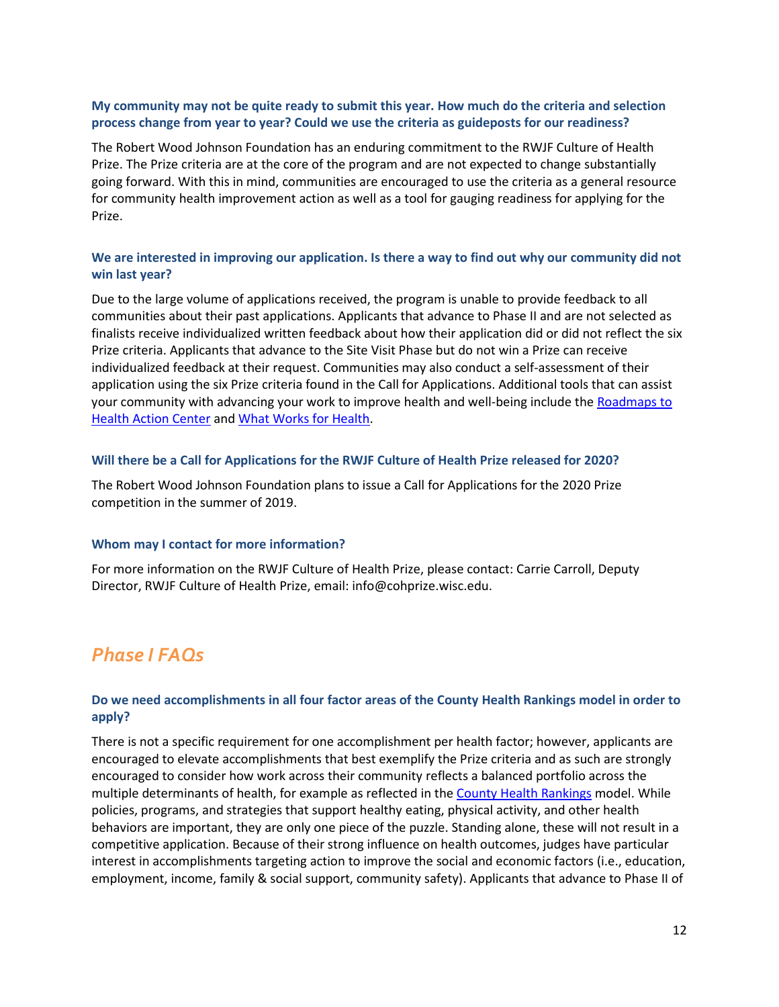# <span id="page-11-0"></span>**My community may not be quite ready to submit this year. How much do the criteria and selection process change from year to year? Could we use the criteria as guideposts for our readiness?**

The Robert Wood Johnson Foundation has an enduring commitment to the RWJF Culture of Health Prize. The Prize criteria are at the core of the program and are not expected to change substantially going forward. With this in mind, communities are encouraged to use the criteria as a general resource for community health improvement action as well as a tool for gauging readiness for applying for the Prize.

# <span id="page-11-1"></span>**We are interested in improving our application. Is there a way to find out why our community did not win last year?**

Due to the large volume of applications received, the program is unable to provide feedback to all communities about their past applications. Applicants that advance to Phase II and are not selected as finalists receive individualized written feedback about how their application did or did not reflect the six Prize criteria. Applicants that advance to the Site Visit Phase but do not win a Prize can receive individualized feedback at their request. Communities may also conduct a self-assessment of their application using the six Prize criteria found in the Call for Applications. Additional tools that can assist your community with advancing your work to improve health and well-being include the [Roadmaps to](http://www.countyhealthrankings.org/take-action-improve-health/action-center)  Health [Action Center](http://www.countyhealthrankings.org/take-action-improve-health/action-center) and [What Works for Health.](http://www.countyhealthrankings.org/take-action-to-improve-health/what-works-for-health)

# <span id="page-11-2"></span>**Will there be a Call for Applications for the RWJF Culture of Health Prize released for 2020?**

The Robert Wood Johnson Foundation plans to issue a Call for Applications for the 2020 Prize competition in the summer of 2019.

#### <span id="page-11-3"></span>**Whom may I contact for more information?**

For more information on the RWJF Culture of Health Prize, please contact: Carrie Carroll, Deputy Director, RWJF Culture of Health Prize, email: [info@cohprize.wisc.edu.](mailto:Info@cohprize.wisc.edu)

# <span id="page-11-4"></span>*Phase I FAQs*

# <span id="page-11-5"></span>**Do we need accomplishments in all four factor areas of the County Health Rankings model in order to apply?**

There is not a specific requirement for one accomplishment per health factor; however, applicants are encouraged to elevate accomplishments that best exemplify the Prize criteria and as such are strongly encouraged to consider how work across their community reflects a balanced portfolio across the multiple determinants of health, for example as reflected in the [County Health Rankings](http://www.countyhealthrankings.org/explore-health-rankings/what-and-why-we-rank) model. While policies, programs, and strategies that support healthy eating, physical activity, and other health behaviors are important, they are only one piece of the puzzle. Standing alone, these will not result in a competitive application. Because of their strong influence on health outcomes, judges have particular interest in accomplishments targeting action to improve the social and economic factors (i.e., education, employment, income, family & social support, community safety). Applicants that advance to Phase II of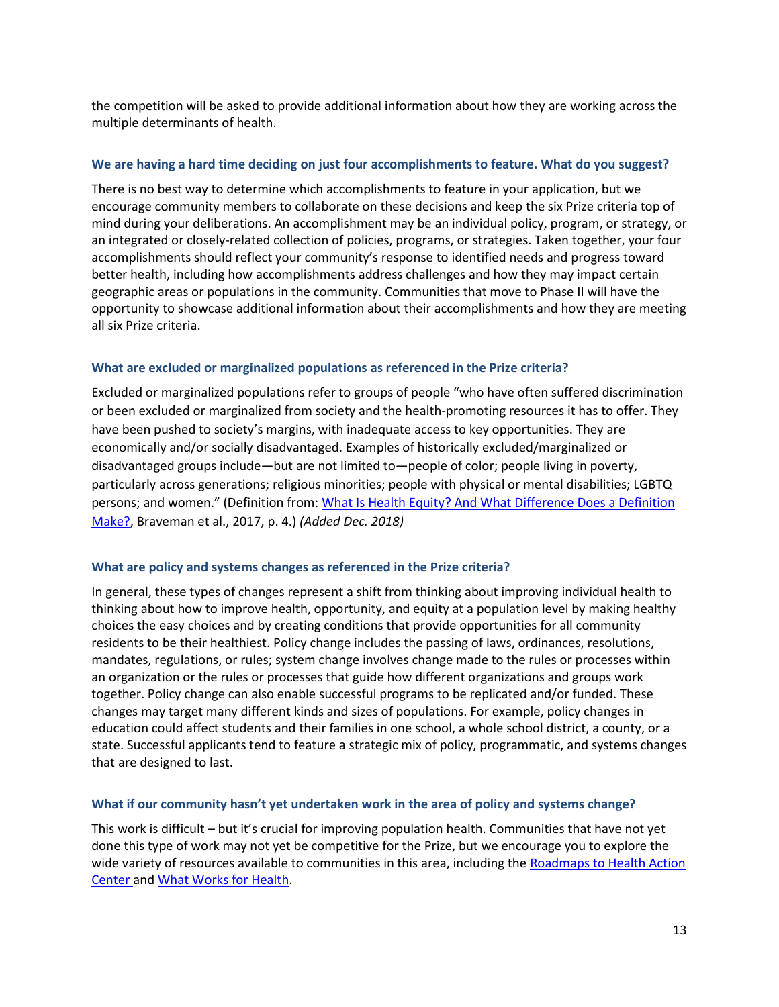the competition will be asked to provide additional information about how they are working across the multiple determinants of health.

#### <span id="page-12-0"></span>**We are having a hard time deciding on just four accomplishments to feature. What do you suggest?**

There is no best way to determine which accomplishments to feature in your application, but we encourage community members to collaborate on these decisions and keep the six Prize criteria top of mind during your deliberations. An accomplishment may be an individual policy, program, or strategy, or an integrated or closely-related collection of policies, programs, or strategies. Taken together, your four accomplishments should reflect your community's response to identified needs and progress toward better health, including how accomplishments address challenges and how they may impact certain geographic areas or populations in the community. Communities that move to Phase II will have the opportunity to showcase additional information about their accomplishments and how they are meeting all six Prize criteria.

# <span id="page-12-1"></span>**What are excluded or marginalized populations as referenced in the Prize criteria?**

Excluded or marginalized populations refer to groups of people "who have often suffered discrimination or been excluded or marginalized from society and the health-promoting resources it has to offer. They have been pushed to society's margins, with inadequate access to key opportunities. They are economically and/or socially disadvantaged. Examples of historically excluded/marginalized or disadvantaged groups include—but are not limited to—people of color; people living in poverty, particularly across generations; religious minorities; people with physical or mental disabilities; LGBTQ persons; and women." (Definition from: [What Is Health Equity? And What Difference Does a Definition](https://www.rwjf.org/content/dam/farm/reports/issue_briefs/2017/rwjf437393)  [Make?,](https://www.rwjf.org/content/dam/farm/reports/issue_briefs/2017/rwjf437393) Braveman et al., 2017, p. 4.) *(Added Dec. 2018)*

#### <span id="page-12-2"></span>**What are policy and systems changes as referenced in the Prize criteria?**

In general, these types of changes represent a shift from thinking about improving individual health to thinking about how to improve health, opportunity, and equity at a population level by making healthy choices the easy choices and by creating conditions that provide opportunities for all community residents to be their healthiest. Policy change includes the passing of laws, ordinances, resolutions, mandates, regulations, or rules; system change involves change made to the rules or processes within an organization or the rules or processes that guide how different organizations and groups work together. Policy change can also enable successful programs to be replicated and/or funded. These changes may target many different kinds and sizes of populations. For example, policy changes in education could affect students and their families in one school, a whole school district, a county, or a state. Successful applicants tend to feature a strategic mix of policy, programmatic, and systems changes that are designed to last.

#### <span id="page-12-3"></span>**What if our community hasn't yet undertaken work in the area of policy and systems change?**

This work is difficult – but it's crucial for improving population health. Communities that have not yet done this type of work may not yet be competitive for the Prize, but we encourage you to explore the wide variety of resources available to communities in this area, including the Roadmaps to Health Action [Center](http://www.countyhealthrankings.org/take-action-improve-health/action-center) and [What Works for Health.](http://www.countyhealthrankings.org/take-action-to-improve-health/what-works-for-health)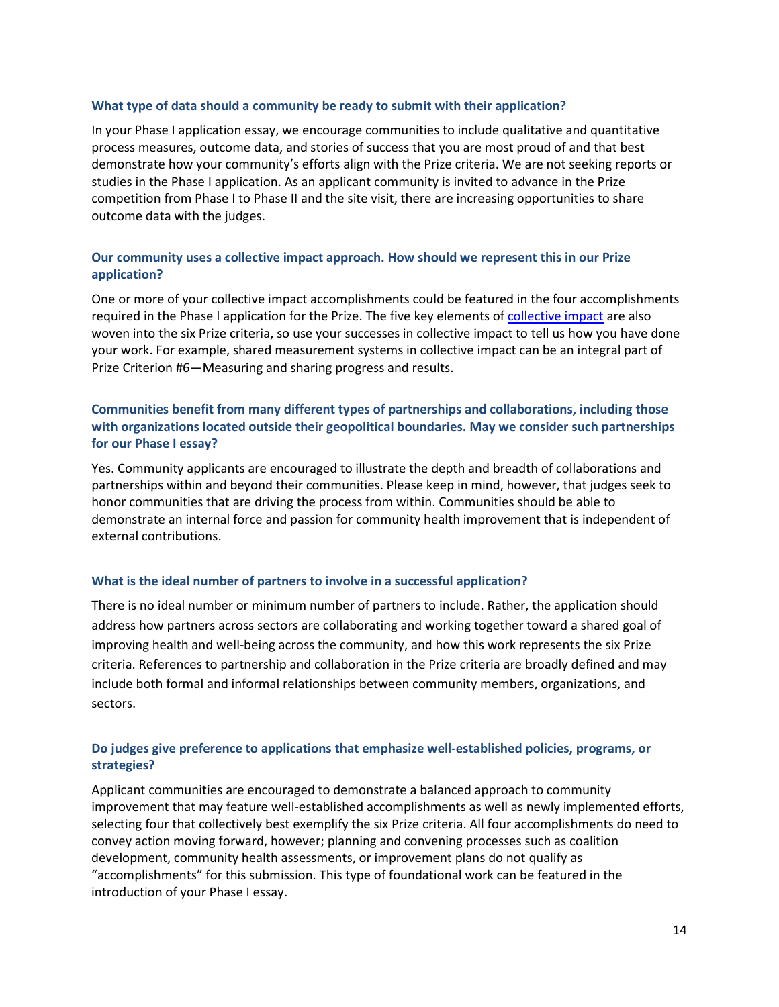#### <span id="page-13-0"></span>**What type of data should a community be ready to submit with their application?**

In your Phase I application essay, we encourage communities to include qualitative and quantitative process measures, outcome data, and stories of success that you are most proud of and that best demonstrate how your community's efforts align with the Prize criteria. We are not seeking reports or studies in the Phase I application. As an applicant community is invited to advance in the Prize competition from Phase I to Phase II and the site visit, there are increasing opportunities to share outcome data with the judges.

# <span id="page-13-1"></span>**Our community uses a collective impact approach. How should we represent this in our Prize application?**

One or more of your collective impact accomplishments could be featured in the four accomplishments required in the Phase I application for the Prize. The five key elements of [collective impact](http://www.fsg.org/publications/collective-impact) are also woven into the six Prize criteria, so use your successes in collective impact to tell us how you have done your work. For example, shared measurement systems in collective impact can be an integral part of Prize Criterion #6—Measuring and sharing progress and results.

# <span id="page-13-2"></span>**Communities benefit from many different types of partnerships and collaborations, including those with organizations located outside their geopolitical boundaries. May we consider such partnerships for our Phase I essay?**

Yes. Community applicants are encouraged to illustrate the depth and breadth of collaborations and partnerships within and beyond their communities. Please keep in mind, however, that judges seek to honor communities that are driving the process from within. Communities should be able to demonstrate an internal force and passion for community health improvement that is independent of external contributions.

# <span id="page-13-3"></span>**What is the ideal number of partners to involve in a successful application?**

There is no ideal number or minimum number of partners to include. Rather, the application should address how partners across sectors are collaborating and working together toward a shared goal of improving health and well-being across the community, and how this work represents the six Prize criteria. References to partnership and collaboration in the Prize criteria are broadly defined and may include both formal and informal relationships between community members, organizations, and sectors.

# <span id="page-13-4"></span>**Do judges give preference to applications that emphasize well-established policies, programs, or strategies?**

Applicant communities are encouraged to demonstrate a balanced approach to community improvement that may feature well-established accomplishments as well as newly implemented efforts, selecting four that collectively best exemplify the six Prize criteria. All four accomplishments do need to convey action moving forward, however; planning and convening processes such as coalition development, community health assessments, or improvement plans do not qualify as "accomplishments" for this submission. This type of foundational work can be featured in the introduction of your Phase I essay.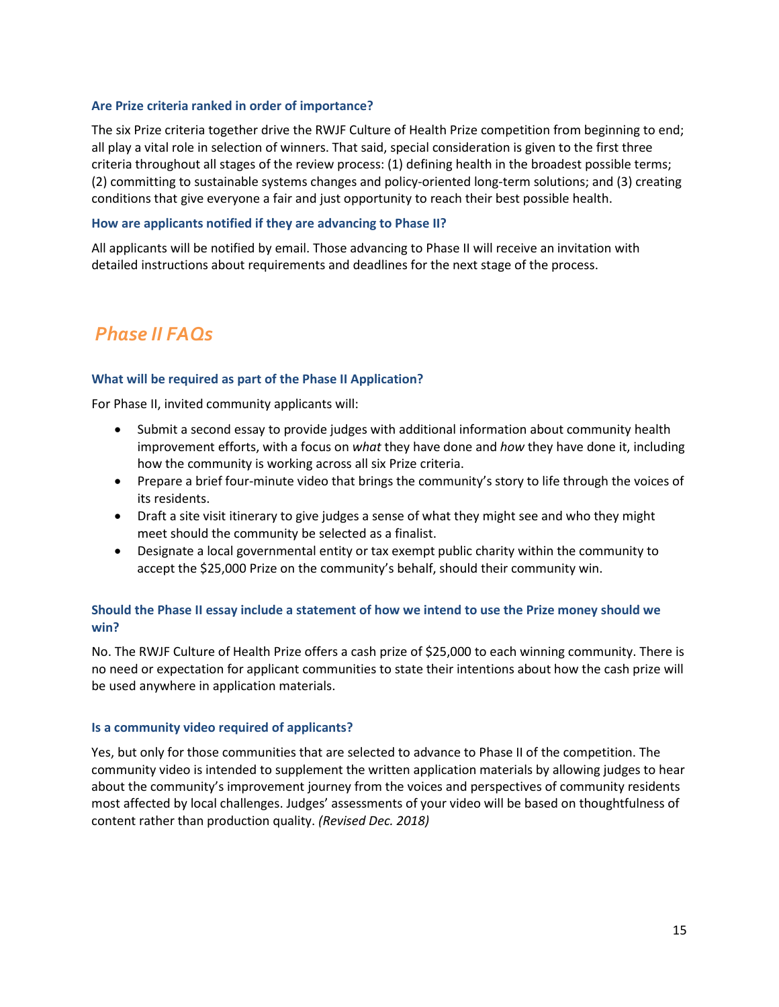### <span id="page-14-0"></span>**Are Prize criteria ranked in order of importance?**

The six Prize criteria together drive the RWJF Culture of Health Prize competition from beginning to end; all play a vital role in selection of winners. That said, special consideration is given to the first three criteria throughout all stages of the review process: (1) defining health in the broadest possible terms; (2) committing to sustainable systems changes and policy-oriented long-term solutions; and (3) creating conditions that give everyone a fair and just opportunity to reach their best possible health.

#### <span id="page-14-1"></span>**How are applicants notified if they are advancing to Phase II?**

All applicants will be notified by email. Those advancing to Phase II will receive an invitation with detailed instructions about requirements and deadlines for the next stage of the process.

# <span id="page-14-2"></span>*Phase II FAQs*

#### <span id="page-14-3"></span>**What will be required as part of the Phase II Application?**

For Phase II, invited community applicants will:

- Submit a second essay to provide judges with additional information about community health improvement efforts, with a focus on *what* they have done and *how* they have done it, including how the community is working across all six Prize criteria.
- Prepare a brief four-minute video that brings the community's story to life through the voices of its residents.
- Draft a site visit itinerary to give judges a sense of what they might see and who they might meet should the community be selected as a finalist.
- Designate a local governmental entity or tax exempt public charity within the community to accept the \$25,000 Prize on the community's behalf, should their community win.

# <span id="page-14-4"></span>**Should the Phase II essay include a statement of how we intend to use the Prize money should we win?**

No. The RWJF Culture of Health Prize offers a cash prize of \$25,000 to each winning community. There is no need or expectation for applicant communities to state their intentions about how the cash prize will be used anywhere in application materials.

#### <span id="page-14-5"></span>**Is a community video required of applicants?**

Yes, but only for those communities that are selected to advance to Phase II of the competition. The community video is intended to supplement the written application materials by allowing judges to hear about the community's improvement journey from the voices and perspectives of community residents most affected by local challenges. Judges' assessments of your video will be based on thoughtfulness of content rather than production quality. *(Revised Dec. 2018)*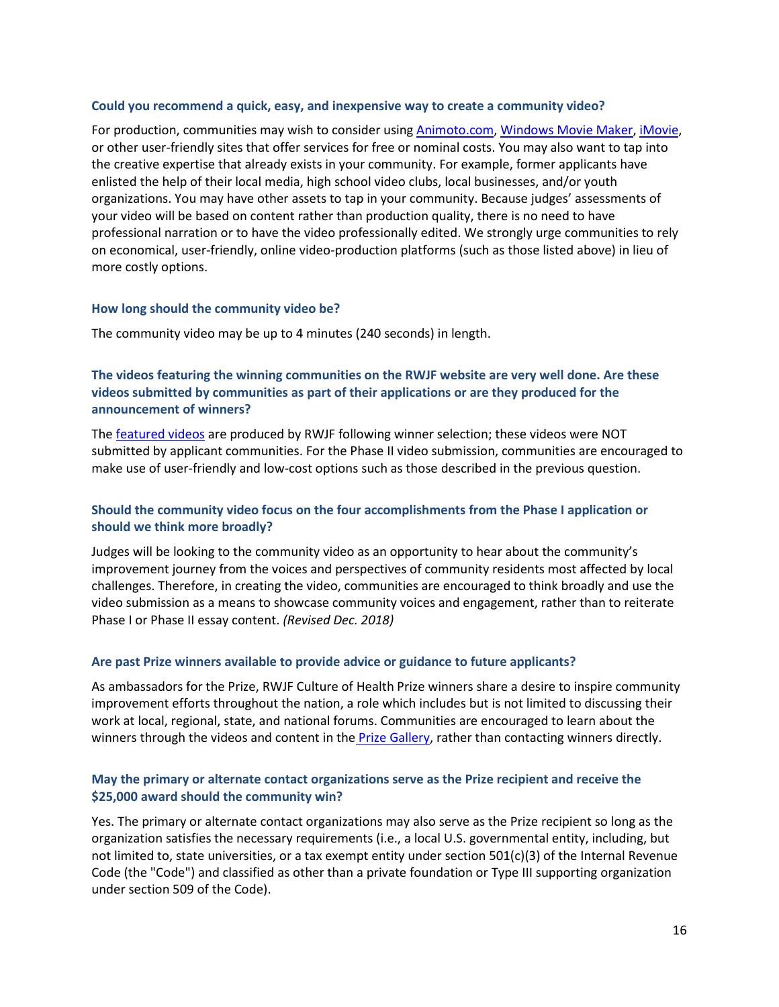#### <span id="page-15-0"></span>**Could you recommend a quick, easy, and inexpensive way to create a community video?**

For production, communities may wish to consider using [Animoto.com,](https://animoto.com/) [Windows Movie Maker,](http://www.videowinsoft.com/videowin-movie-maker.html) [iMovie,](http://www.apple.com/mac/imovie/) or other user-friendly sites that offer services for free or nominal costs. You may also want to tap into the creative expertise that already exists in your community. For example, former applicants have enlisted the help of their local media, high school video clubs, local businesses, and/or youth organizations. You may have other assets to tap in your community. Because judges' assessments of your video will be based on content rather than production quality, there is no need to have professional narration or to have the video professionally edited. We strongly urge communities to rely on economical, user-friendly, online video-production platforms (such as those listed above) in lieu of more costly options.

#### <span id="page-15-1"></span>**How long should the community video be?**

The community video may be up to 4 minutes (240 seconds) in length.

# <span id="page-15-2"></span>**The videos featuring the winning communities on the RWJF website are very well done. Are these videos submitted by communities as part of their applications or are they produced for the announcement of winners?**

The [featured videos](http://www.rwjf.org/prize) are produced by RWJF following winner selection; these videos were NOT submitted by applicant communities. For the Phase II video submission, communities are encouraged to make use of user-friendly and low-cost options such as those described in the previous question.

# <span id="page-15-3"></span>**Should the community video focus on the four accomplishments from the Phase I application or should we think more broadly?**

Judges will be looking to the community video as an opportunity to hear about the community's improvement journey from the voices and perspectives of community residents most affected by local challenges. Therefore, in creating the video, communities are encouraged to think broadly and use the video submission as a means to showcase community voices and engagement, rather than to reiterate Phase I or Phase II essay content. *(Revised Dec. 2018)*

#### <span id="page-15-4"></span>**Are past Prize winners available to provide advice or guidance to future applicants?**

As ambassadors for the Prize, RWJF Culture of Health Prize winners share a desire to inspire community improvement efforts throughout the nation, a role which includes but is not limited to discussing their work at local, regional, state, and national forums. Communities are encouraged to learn about the winners through the videos and content in the [Prize Gallery,](http://www.rwjf.org/prize) rather than contacting winners directly.

#### <span id="page-15-5"></span>**May the primary or alternate contact organizations serve as the Prize recipient and receive the \$25,000 award should the community win?**

Yes. The primary or alternate contact organizations may also serve as the Prize recipient so long as the organization satisfies the necessary requirements (i.e., a local U.S. governmental entity, including, but not limited to, state universities, or a tax exempt entity under section 501(c)(3) of the Internal Revenue Code (the "Code") and classified as other than a private foundation or Type III supporting organization under section 509 of the Code).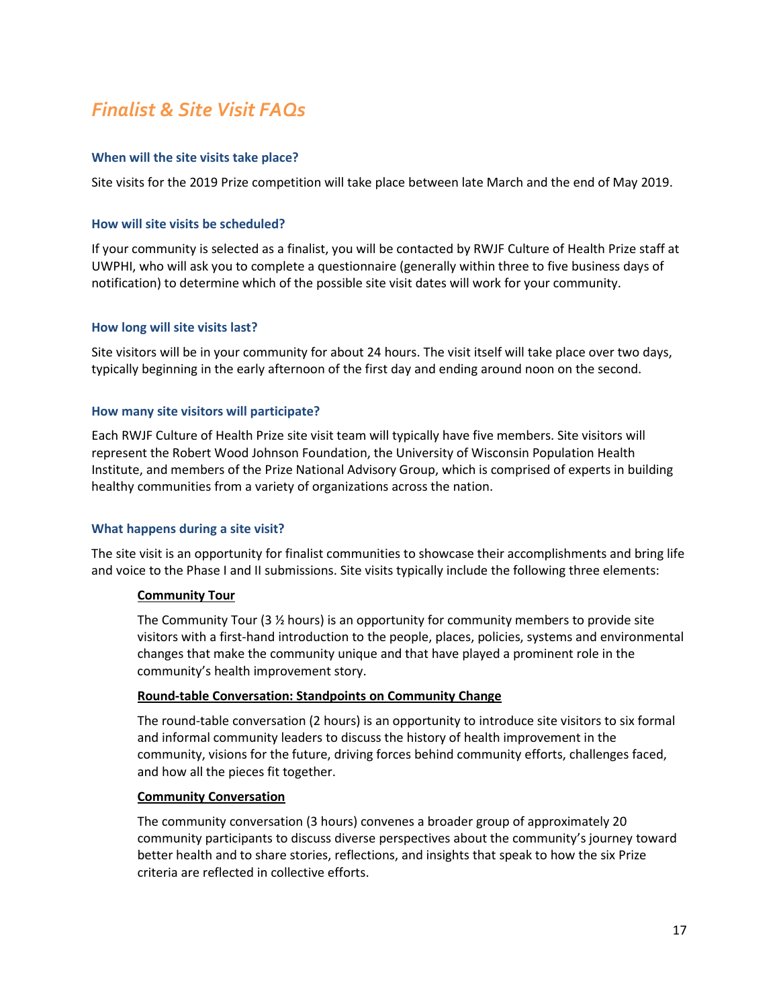# <span id="page-16-0"></span>*Finalist & Site Visit FAQs*

# <span id="page-16-1"></span>**When will the site visits take place?**

Site visits for the 2019 Prize competition will take place between late March and the end of May 2019.

# <span id="page-16-2"></span>**How will site visits be scheduled?**

If your community is selected as a finalist, you will be contacted by RWJF Culture of Health Prize staff at UWPHI, who will ask you to complete a questionnaire (generally within three to five business days of notification) to determine which of the possible site visit dates will work for your community.

#### <span id="page-16-3"></span>**How long will site visits last?**

Site visitors will be in your community for about 24 hours. The visit itself will take place over two days, typically beginning in the early afternoon of the first day and ending around noon on the second.

#### <span id="page-16-4"></span>**How many site visitors will participate?**

Each RWJF Culture of Health Prize site visit team will typically have five members. Site visitors will represent the Robert Wood Johnson Foundation, the University of Wisconsin Population Health Institute, and members of the Prize National Advisory Group, which is comprised of experts in building healthy communities from a variety of organizations across the nation.

# <span id="page-16-5"></span>**What happens during a site visit?**

The site visit is an opportunity for finalist communities to showcase their accomplishments and bring life and voice to the Phase I and II submissions. Site visits typically include the following three elements:

# **Community Tour**

The Community Tour (3 ½ hours) is an opportunity for community members to provide site visitors with a first-hand introduction to the people, places, policies, systems and environmental changes that make the community unique and that have played a prominent role in the community's health improvement story.

#### **Round-table Conversation: Standpoints on Community Change**

The round-table conversation (2 hours) is an opportunity to introduce site visitors to six formal and informal community leaders to discuss the history of health improvement in the community, visions for the future, driving forces behind community efforts, challenges faced, and how all the pieces fit together.

#### **Community Conversation**

The community conversation (3 hours) convenes a broader group of approximately 20 community participants to discuss diverse perspectives about the community's journey toward better health and to share stories, reflections, and insights that speak to how the six Prize criteria are reflected in collective efforts.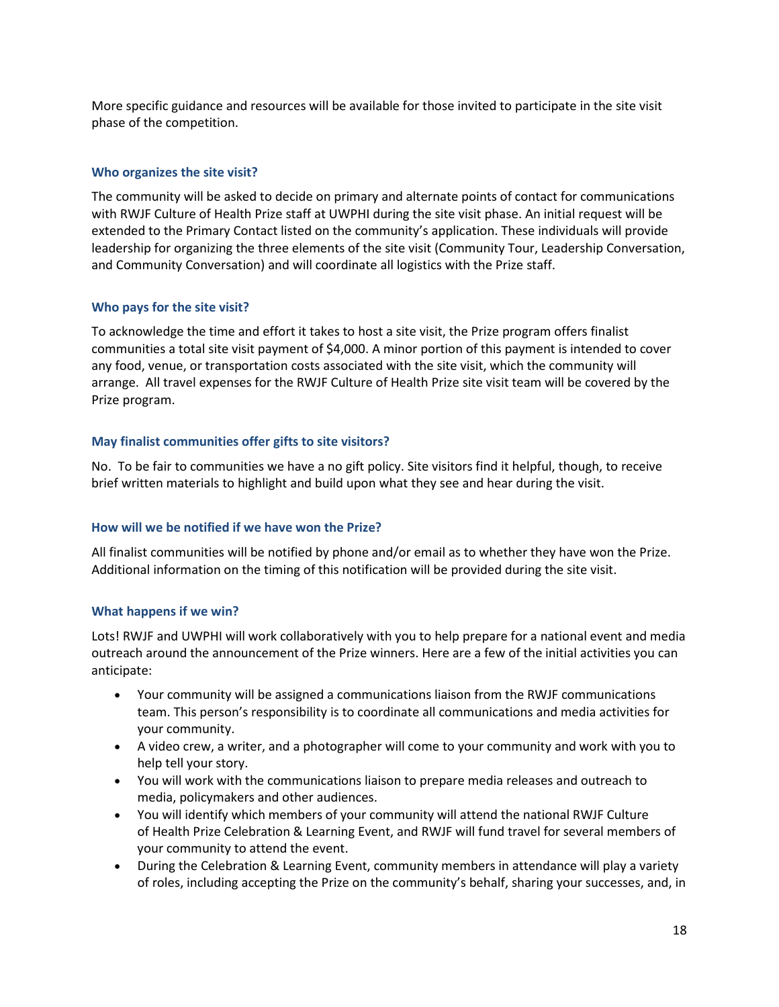More specific guidance and resources will be available for those invited to participate in the site visit phase of the competition.

# <span id="page-17-0"></span>**Who organizes the site visit?**

The community will be asked to decide on primary and alternate points of contact for communications with RWJF Culture of Health Prize staff at UWPHI during the site visit phase. An initial request will be extended to the Primary Contact listed on the community's application. These individuals will provide leadership for organizing the three elements of the site visit (Community Tour, Leadership Conversation, and Community Conversation) and will coordinate all logistics with the Prize staff.

# <span id="page-17-1"></span>**Who pays for the site visit?**

To acknowledge the time and effort it takes to host a site visit, the Prize program offers finalist communities a total site visit payment of \$4,000. A minor portion of this payment is intended to cover any food, venue, or transportation costs associated with the site visit, which the community will arrange. All travel expenses for the RWJF Culture of Health Prize site visit team will be covered by the Prize program.

# <span id="page-17-2"></span>**May finalist communities offer gifts to site visitors?**

No. To be fair to communities we have a no gift policy. Site visitors find it helpful, though, to receive brief written materials to highlight and build upon what they see and hear during the visit.

# <span id="page-17-3"></span>**How will we be notified if we have won the Prize?**

All finalist communities will be notified by phone and/or email as to whether they have won the Prize. Additional information on the timing of this notification will be provided during the site visit.

# <span id="page-17-4"></span>**What happens if we win?**

Lots! RWJF and UWPHI will work collaboratively with you to help prepare for a national event and media outreach around the announcement of the Prize winners. Here are a few of the initial activities you can anticipate:

- Your community will be assigned a communications liaison from the RWJF communications team. This person's responsibility is to coordinate all communications and media activities for your community.
- A video crew, a writer, and a photographer will come to your community and work with you to help tell your story.
- You will work with the communications liaison to prepare media releases and outreach to media, policymakers and other audiences.
- You will identify which members of your community will attend the national RWJF Culture of Health Prize Celebration & Learning Event, and RWJF will fund travel for several members of your community to attend the event.
- During the Celebration & Learning Event, community members in attendance will play a variety of roles, including accepting the Prize on the community's behalf, sharing your successes, and, in